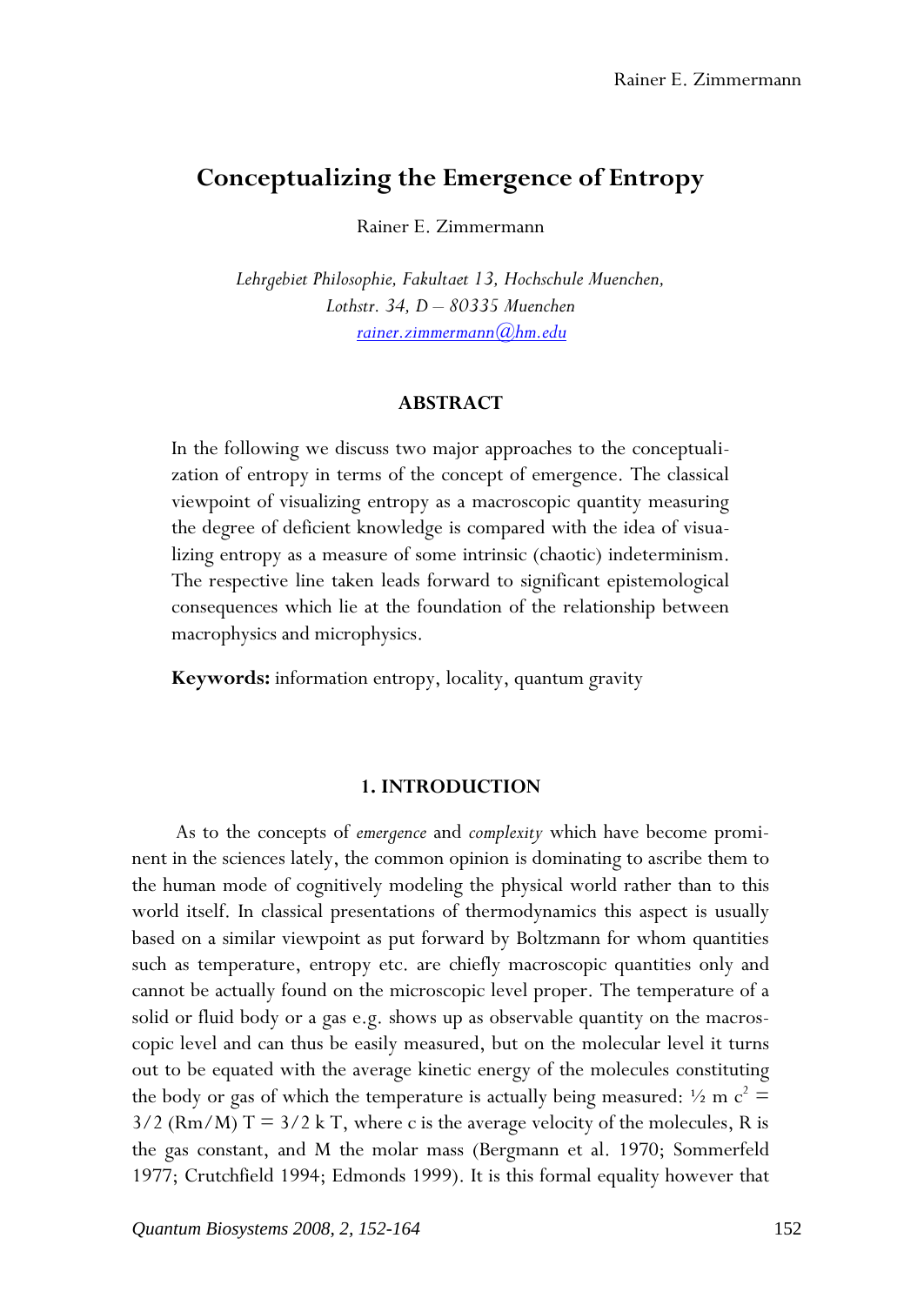# **Conceptualizing the Emergence of Entropy**

Rainer E. Zimmermann

*Lehrgebiet Philosophie, Fakultaet 13, Hochschule Muenchen, Lothstr. 34, D – 80335 Muenchen [rainer.zimmermann@hm.edu](mailto:rainer.zimmermann@hm.edu)*

## **ABSTRACT**

In the following we discuss two major approaches to the conceptualization of entropy in terms of the concept of emergence. The classical viewpoint of visualizing entropy as a macroscopic quantity measuring the degree of deficient knowledge is compared with the idea of visualizing entropy as a measure of some intrinsic (chaotic) indeterminism. The respective line taken leads forward to significant epistemological consequences which lie at the foundation of the relationship between macrophysics and microphysics.

**Keywords:** information entropy, locality, quantum gravity

### **1. INTRODUCTION**

As to the concepts of *emergence* and *complexity* which have become prominent in the sciences lately, the common opinion is dominating to ascribe them to the human mode of cognitively modeling the physical world rather than to this world itself. In classical presentations of thermodynamics this aspect is usually based on a similar viewpoint as put forward by Boltzmann for whom quantities such as temperature, entropy etc. are chiefly macroscopic quantities only and cannot be actually found on the microscopic level proper. The temperature of a solid or fluid body or a gas e.g. shows up as observable quantity on the macroscopic level and can thus be easily measured, but on the molecular level it turns out to be equated with the average kinetic energy of the molecules constituting the body or gas of which the temperature is actually being measured:  $\frac{1}{2}$  m c<sup>2</sup> =  $3/2$  (Rm/M) T =  $3/2$  k T, where c is the average velocity of the molecules, R is the gas constant, and M the molar mass (Bergmann et al. 1970; Sommerfeld 1977; Crutchfield 1994; Edmonds 1999). It is this formal equality however that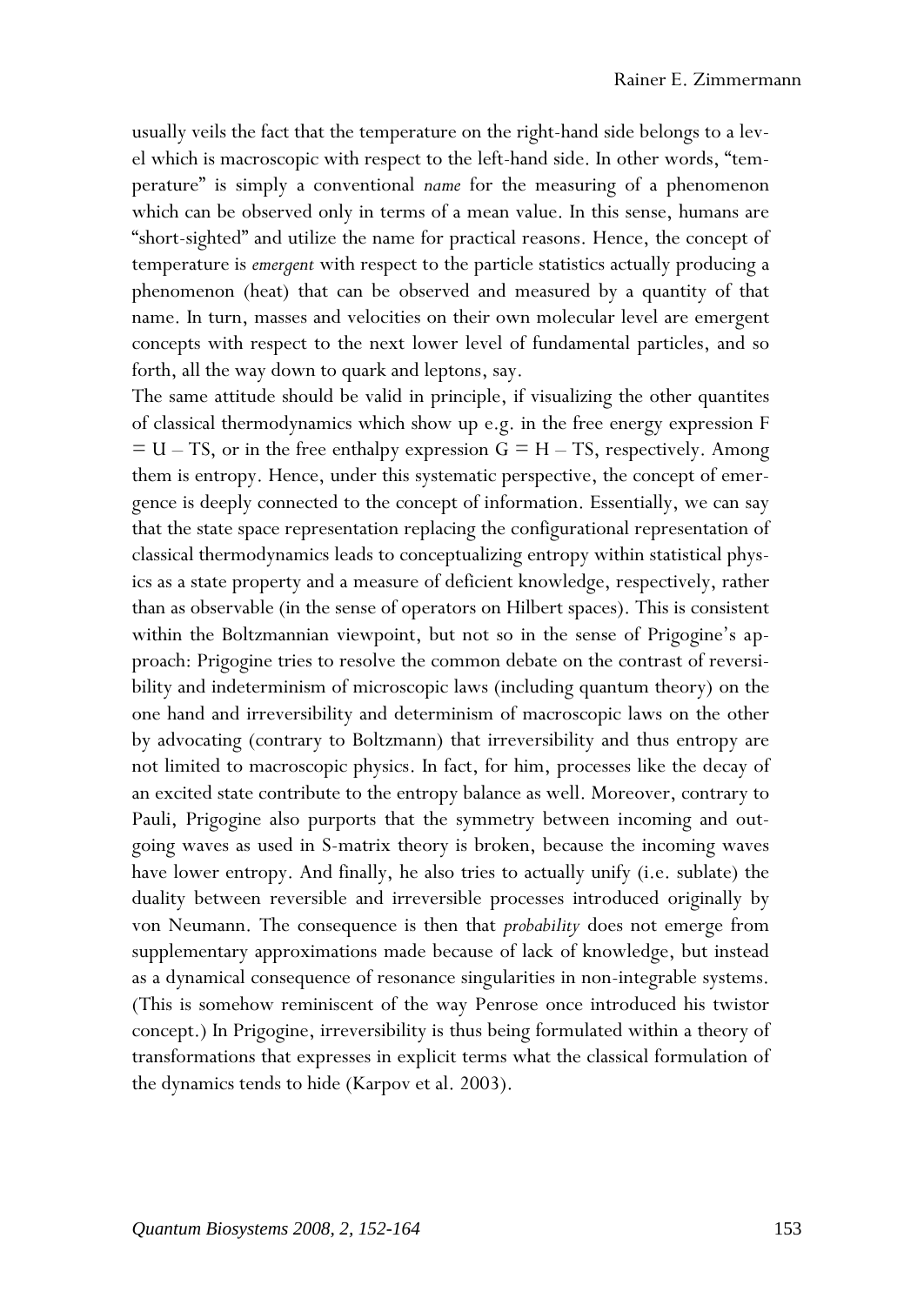usually veils the fact that the temperature on the right-hand side belongs to a level which is macroscopic with respect to the left-hand side. In other words, "temperature" is simply a conventional *name* for the measuring of a phenomenon which can be observed only in terms of a mean value. In this sense, humans are "short-sighted" and utilize the name for practical reasons. Hence, the concept of temperature is *emergent* with respect to the particle statistics actually producing a phenomenon (heat) that can be observed and measured by a quantity of that name. In turn, masses and velocities on their own molecular level are emergent concepts with respect to the next lower level of fundamental particles, and so forth, all the way down to quark and leptons, say.

The same attitude should be valid in principle, if visualizing the other quantites of classical thermodynamics which show up e.g. in the free energy expression F  $= U - TS$ , or in the free enthalpy expression  $G = H - TS$ , respectively. Among them is entropy. Hence, under this systematic perspective, the concept of emergence is deeply connected to the concept of information. Essentially, we can say that the state space representation replacing the configurational representation of classical thermodynamics leads to conceptualizing entropy within statistical physics as a state property and a measure of deficient knowledge, respectively, rather than as observable (in the sense of operators on Hilbert spaces). This is consistent within the Boltzmannian viewpoint, but not so in the sense of Prigogine's approach: Prigogine tries to resolve the common debate on the contrast of reversibility and indeterminism of microscopic laws (including quantum theory) on the one hand and irreversibility and determinism of macroscopic laws on the other by advocating (contrary to Boltzmann) that irreversibility and thus entropy are not limited to macroscopic physics. In fact, for him, processes like the decay of an excited state contribute to the entropy balance as well. Moreover, contrary to Pauli, Prigogine also purports that the symmetry between incoming and outgoing waves as used in S-matrix theory is broken, because the incoming waves have lower entropy. And finally, he also tries to actually unify (i.e. sublate) the duality between reversible and irreversible processes introduced originally by von Neumann. The consequence is then that *probability* does not emerge from supplementary approximations made because of lack of knowledge, but instead as a dynamical consequence of resonance singularities in non-integrable systems. (This is somehow reminiscent of the way Penrose once introduced his twistor concept.) In Prigogine, irreversibility is thus being formulated within a theory of transformations that expresses in explicit terms what the classical formulation of the dynamics tends to hide (Karpov et al. 2003).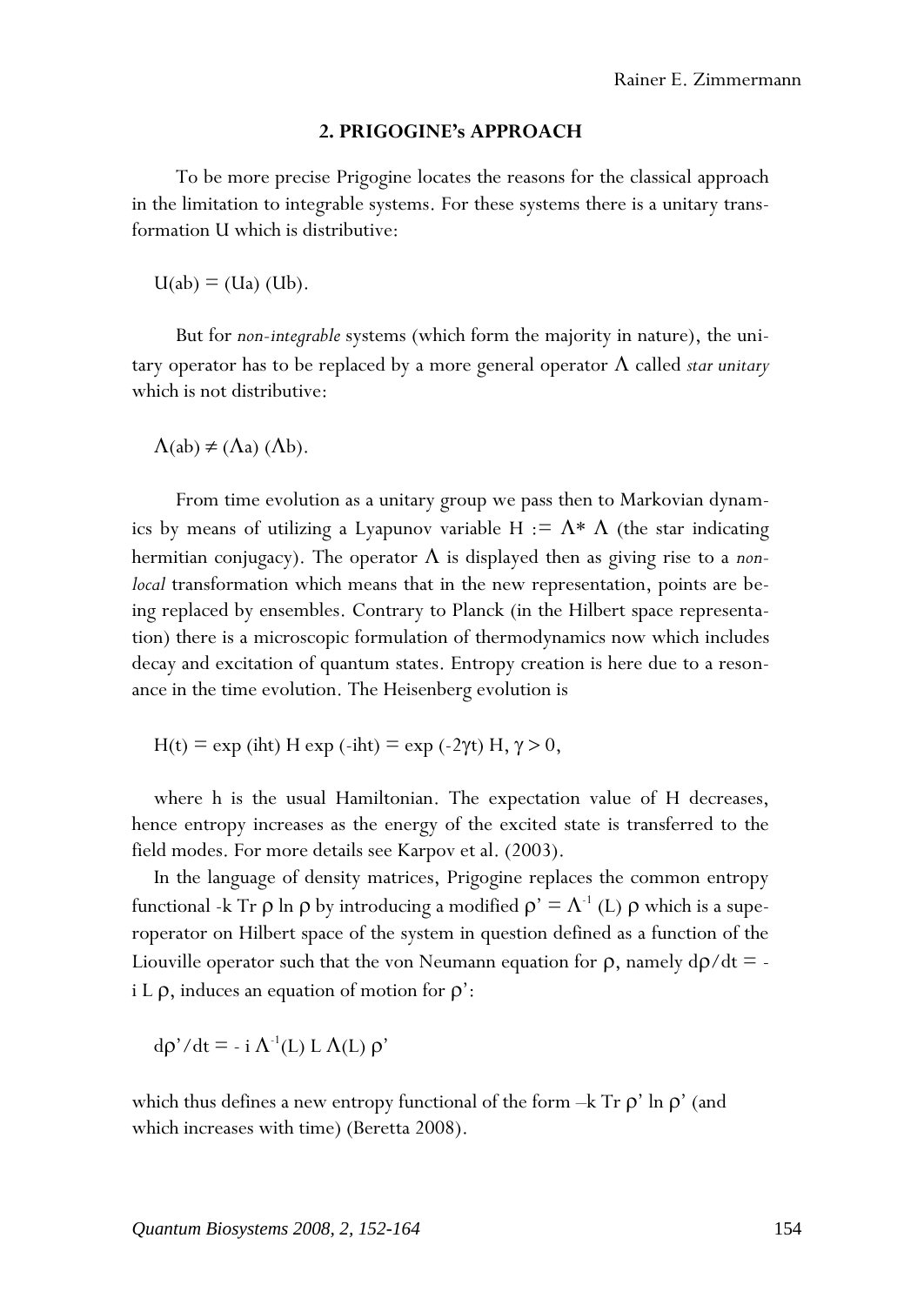#### **2. PRIGOGINE's APPROACH**

To be more precise Prigogine locates the reasons for the classical approach in the limitation to integrable systems. For these systems there is a unitary transformation U which is distributive:

 $U(ab) = (Ua) (Ub).$ 

But for *non-integrable* systems (which form the majority in nature), the unitary operator has to be replaced by a more general operator  $\Lambda$  called *star unitary* which is not distributive:

 $\Lambda$ (ab)  $\neq$  ( $\Lambda$ a) ( $\Lambda$ b).

From time evolution as a unitary group we pass then to Markovian dynamics by means of utilizing a Lyapunov variable H :=  $\Lambda^* \Lambda$  (the star indicating hermitian conjugacy). The operator  $\Lambda$  is displayed then as giving rise to a *nonlocal* transformation which means that in the new representation, points are being replaced by ensembles. Contrary to Planck (in the Hilbert space representation) there is a microscopic formulation of thermodynamics now which includes decay and excitation of quantum states. Entropy creation is here due to a resonance in the time evolution. The Heisenberg evolution is

 $H(t) = \exp(iht) H \exp(-iht) = \exp(-2\gamma t) H$ ,  $\gamma > 0$ ,

where h is the usual Hamiltonian. The expectation value of H decreases, hence entropy increases as the energy of the excited state is transferred to the field modes. For more details see Karpov et al. (2003).

In the language of density matrices, Prigogine replaces the common entropy functional -k Tr  $\rho$  ln  $\rho$  by introducing a modified  $\rho' = \Lambda^{-1}$  (L)  $\rho$  which is a superoperator on Hilbert space of the system in question defined as a function of the Liouville operator such that the von Neumann equation for  $\rho$ , namely  $d\rho/dt =$ i L $\rho$ , induces an equation of motion for  $\rho'$ :

 $d\rho'/dt = -i \Lambda^{-1}(L) L \Lambda(L) \rho'$ 

which thus defines a new entropy functional of the form  $-k$  Tr  $\rho'$  ln  $\rho'$  (and which increases with time) (Beretta 2008).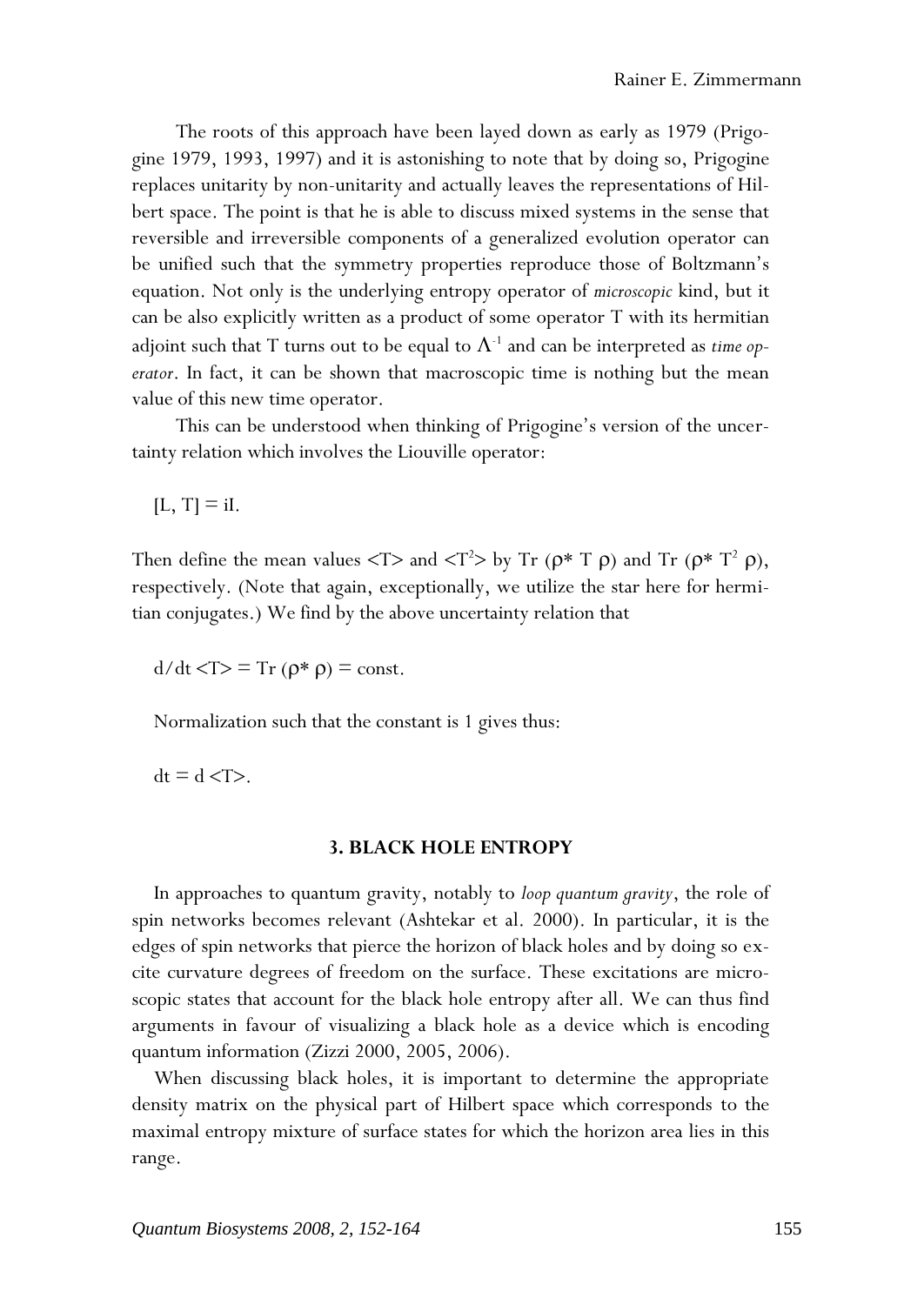The roots of this approach have been layed down as early as 1979 (Prigogine 1979, 1993, 1997) and it is astonishing to note that by doing so, Prigogine replaces unitarity by non-unitarity and actually leaves the representations of Hilbert space. The point is that he is able to discuss mixed systems in the sense that reversible and irreversible components of a generalized evolution operator can be unified such that the symmetry properties reproduce those of Boltzmann's equation. Not only is the underlying entropy operator of *microscopic* kind, but it can be also explicitly written as a product of some operator T with its hermitian adjoint such that T turns out to be equal to  $\Lambda^\text{-1}$  and can be interpreted as *time operator*. In fact, it can be shown that macroscopic time is nothing but the mean value of this new time operator.

This can be understood when thinking of Prigogine's version of the uncertainty relation which involves the Liouville operator:

 $[L, T] = iI.$ 

Then define the mean values  $\langle T \rangle$  and  $\langle T^2 \rangle$  by Tr ( $\rho^*$  T  $\rho$ ) and Tr ( $\rho^*$  T<sup>2</sup>  $\rho$ ), respectively. (Note that again, exceptionally, we utilize the star here for hermitian conjugates.) We find by the above uncertainty relation that

 $d/dt < T$  = Tr  $(\rho * \rho)$  = const.

Normalization such that the constant is 1 gives thus:

 $dt = d < T$ .

#### **3. BLACK HOLE ENTROPY**

In approaches to quantum gravity, notably to *loop quantum gravity*, the role of spin networks becomes relevant (Ashtekar et al. 2000). In particular, it is the edges of spin networks that pierce the horizon of black holes and by doing so excite curvature degrees of freedom on the surface. These excitations are microscopic states that account for the black hole entropy after all. We can thus find arguments in favour of visualizing a black hole as a device which is encoding quantum information (Zizzi 2000, 2005, 2006).

When discussing black holes, it is important to determine the appropriate density matrix on the physical part of Hilbert space which corresponds to the maximal entropy mixture of surface states for which the horizon area lies in this range.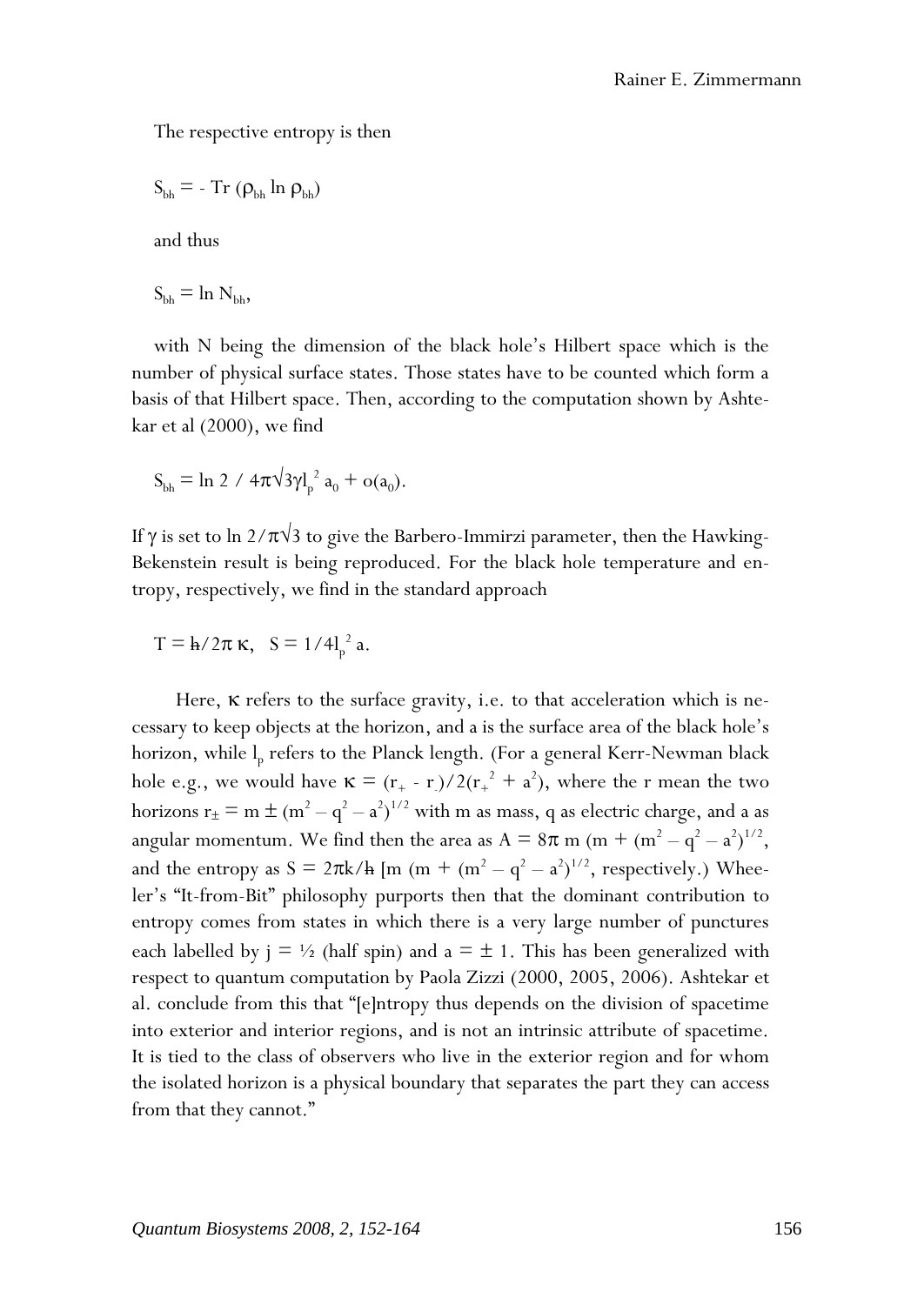The respective entropy is then

$$
S_{bh} \equiv \text{- Tr} \; (\rho_{bh} \ln \, \rho_{bh})
$$

and thus

$$
S_{bh} \equiv \ln\,N_{bh},
$$

with N being the dimension of the black hole's Hilbert space which is the number of physical surface states. Those states have to be counted which form a basis of that Hilbert space. Then, according to the computation shown by Ashtekar et al (2000), we find

$$
S_{bh} = \ln 2 / 4\pi \sqrt{3 \gamma l_p^2} a_0 + o(a_0).
$$

If  $\gamma$  is set to ln 2/ $\pi\sqrt{3}$  to give the Barbero-Immirzi parameter, then the Hawking-Bekenstein result is being reproduced. For the black hole temperature and entropy, respectively, we find in the standard approach

 $T = h/2\pi \kappa$ ,  $S = 1/4l_p^2$  a.

Here,  $\kappa$  refers to the surface gravity, i.e. to that acceleration which is necessary to keep objects at the horizon, and a is the surface area of the black hole's horizon, while  $I_p$  refers to the Planck length. (For a general Kerr-Newman black hole e.g., we would have  $\kappa = (r_{+} - r_{-})/2(r_{+}^{2} + a^{2})$ , where the r mean the two horizons  $r_{\pm} = m \pm (m^2 - q^2 - a^2)^{1/2}$  with m as mass, q as electric charge, and a as angular momentum. We find then the area as  $A = 8\pi$  m (m + (m<sup>2</sup> – q<sup>2</sup> – a<sup>2</sup>)<sup>1/2</sup>, and the entropy as  $S = 2\pi k/h$  [m (m + (m<sup>2</sup> – q<sup>2</sup> – a<sup>2</sup>)<sup>1/2</sup>, respectively.) Wheeler's "It-from-Bit" philosophy purports then that the dominant contribution to entropy comes from states in which there is a very large number of punctures each labelled by  $j = \frac{1}{2}$  (half spin) and  $a = \pm 1$ . This has been generalized with respect to quantum computation by Paola Zizzi (2000, 2005, 2006). Ashtekar et al. conclude from this that "[e]ntropy thus depends on the division of spacetime into exterior and interior regions, and is not an intrinsic attribute of spacetime. It is tied to the class of observers who live in the exterior region and for whom the isolated horizon is a physical boundary that separates the part they can access from that they cannot."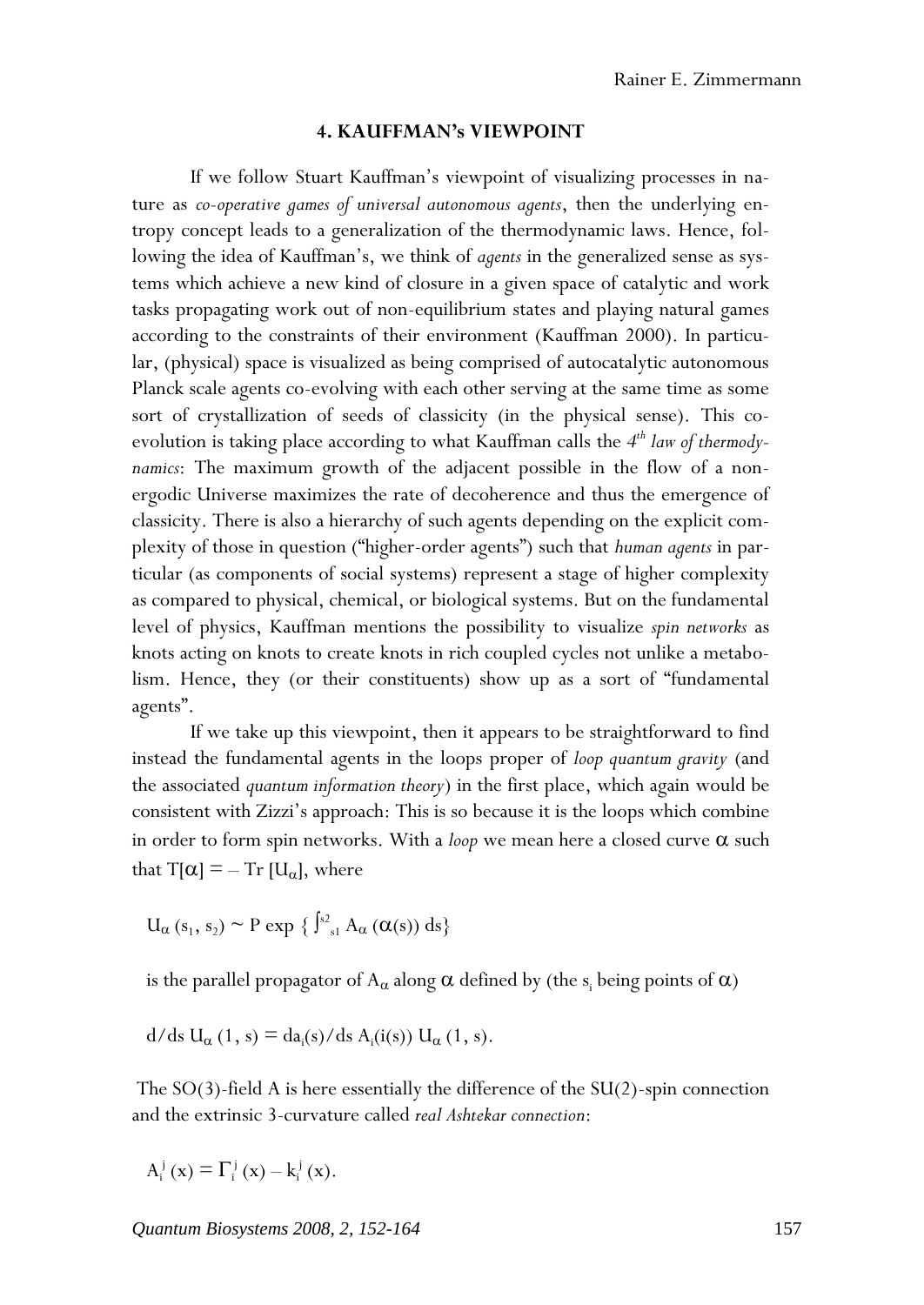## **4. KAUFFMAN's VIEWPOINT**

 If we follow Stuart Kauffman's viewpoint of visualizing processes in nature as *co-operative games of universal autonomous agents*, then the underlying entropy concept leads to a generalization of the thermodynamic laws. Hence, following the idea of Kauffman's, we think of *agents* in the generalized sense as systems which achieve a new kind of closure in a given space of catalytic and work tasks propagating work out of non-equilibrium states and playing natural games according to the constraints of their environment (Kauffman 2000). In particular, (physical) space is visualized as being comprised of autocatalytic autonomous Planck scale agents co-evolving with each other serving at the same time as some sort of crystallization of seeds of classicity (in the physical sense). This coevolution is taking place according to what Kauffman calls the 4<sup>th</sup> law of thermody*namics*: The maximum growth of the adjacent possible in the flow of a nonergodic Universe maximizes the rate of decoherence and thus the emergence of classicity. There is also a hierarchy of such agents depending on the explicit complexity of those in question ("higher-order agents") such that *human agents* in particular (as components of social systems) represent a stage of higher complexity as compared to physical, chemical, or biological systems. But on the fundamental level of physics, Kauffman mentions the possibility to visualize *spin networks* as knots acting on knots to create knots in rich coupled cycles not unlike a metabolism. Hence, they (or their constituents) show up as a sort of "fundamental agents".

 If we take up this viewpoint, then it appears to be straightforward to find instead the fundamental agents in the loops proper of *loop quantum gravity* (and the associated *quantum information theory*) in the first place, which again would be consistent with Zizzi's approach: This is so because it is the loops which combine in order to form spin networks. With a *loop* we mean here a closed curve  $\alpha$  such that  $T[\alpha] = -\operatorname{Tr} [U_{\alpha}]$ , where

 $U_{\alpha}(s_1, s_2) \sim P \exp \{ \int_{s_1}^{s_2} A_{\alpha}(\alpha(s)) ds \}$ 

is the parallel propagator of  $A_{\alpha}$  along  $\alpha$  defined by (the s<sub>i</sub> being points of  $\alpha$ )

 $d/ds U_{\alpha}(1, s) = da_{i}(s)/ds A_{i}(i(s)) U_{\alpha}(1, s).$ 

The  $SO(3)$ -field A is here essentially the difference of the  $SU(2)$ -spin connection and the extrinsic 3-curvature called *real Ashtekar connection*:

 $A_i^j(x) = \Gamma_i^j(x) - k_i^j(x)$ .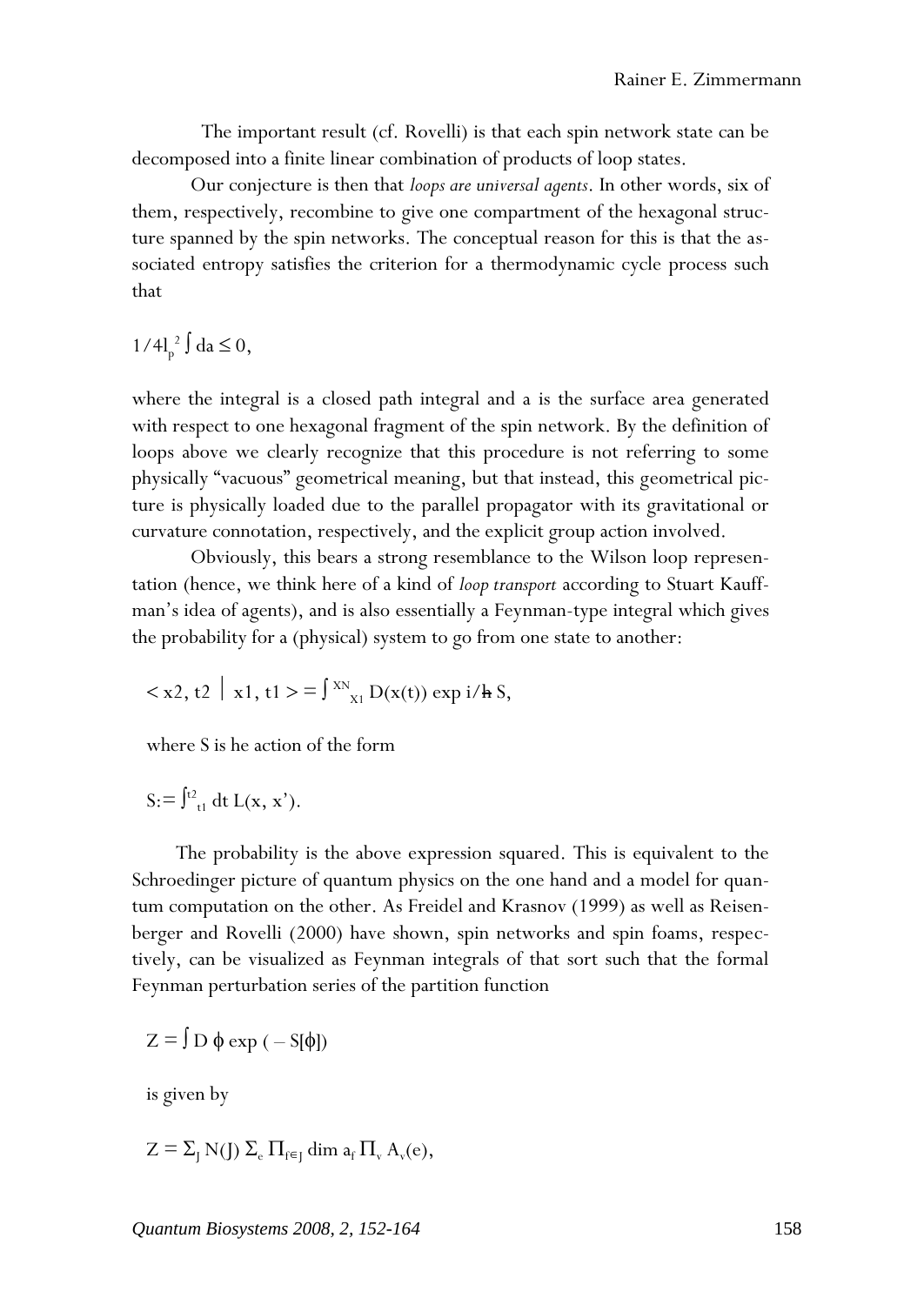The important result (cf. Rovelli) is that each spin network state can be decomposed into a finite linear combination of products of loop states.

 Our conjecture is then that *loops are universal agents*. In other words, six of them, respectively, recombine to give one compartment of the hexagonal structure spanned by the spin networks. The conceptual reason for this is that the associated entropy satisfies the criterion for a thermodynamic cycle process such that

 $1/4l_p^2 \int da \leq 0$ ,

where the integral is a closed path integral and a is the surface area generated with respect to one hexagonal fragment of the spin network. By the definition of loops above we clearly recognize that this procedure is not referring to some physically "vacuous" geometrical meaning, but that instead, this geometrical picture is physically loaded due to the parallel propagator with its gravitational or curvature connotation, respectively, and the explicit group action involved.

 Obviously, this bears a strong resemblance to the Wilson loop representation (hence, we think here of a kind of *loop transport* according to Stuart Kauffman's idea of agents), and is also essentially a Feynman-type integral which gives the probability for a (physical) system to go from one state to another:

$$
\langle x^2, t^2 | x^1, t^1 \rangle = \int_{x^N x_1}^{x^N} D(x(t)) \exp i / h S,
$$

where S is he action of the form

$$
S:=\int_{t_1}^{t_2} dt L(x,x').
$$

The probability is the above expression squared. This is equivalent to the Schroedinger picture of quantum physics on the one hand and a model for quantum computation on the other. As Freidel and Krasnov (1999) as well as Reisenberger and Rovelli (2000) have shown, spin networks and spin foams, respectively, can be visualized as Feynman integrals of that sort such that the formal Feynman perturbation series of the partition function

$$
Z = \int D \phi \exp(-S[\phi])
$$

is given by

$$
Z = \Sigma_{J} N(J) \Sigma_{e} \Pi_{f \in J} \dim a_{f} \Pi_{v} A_{v}(e),
$$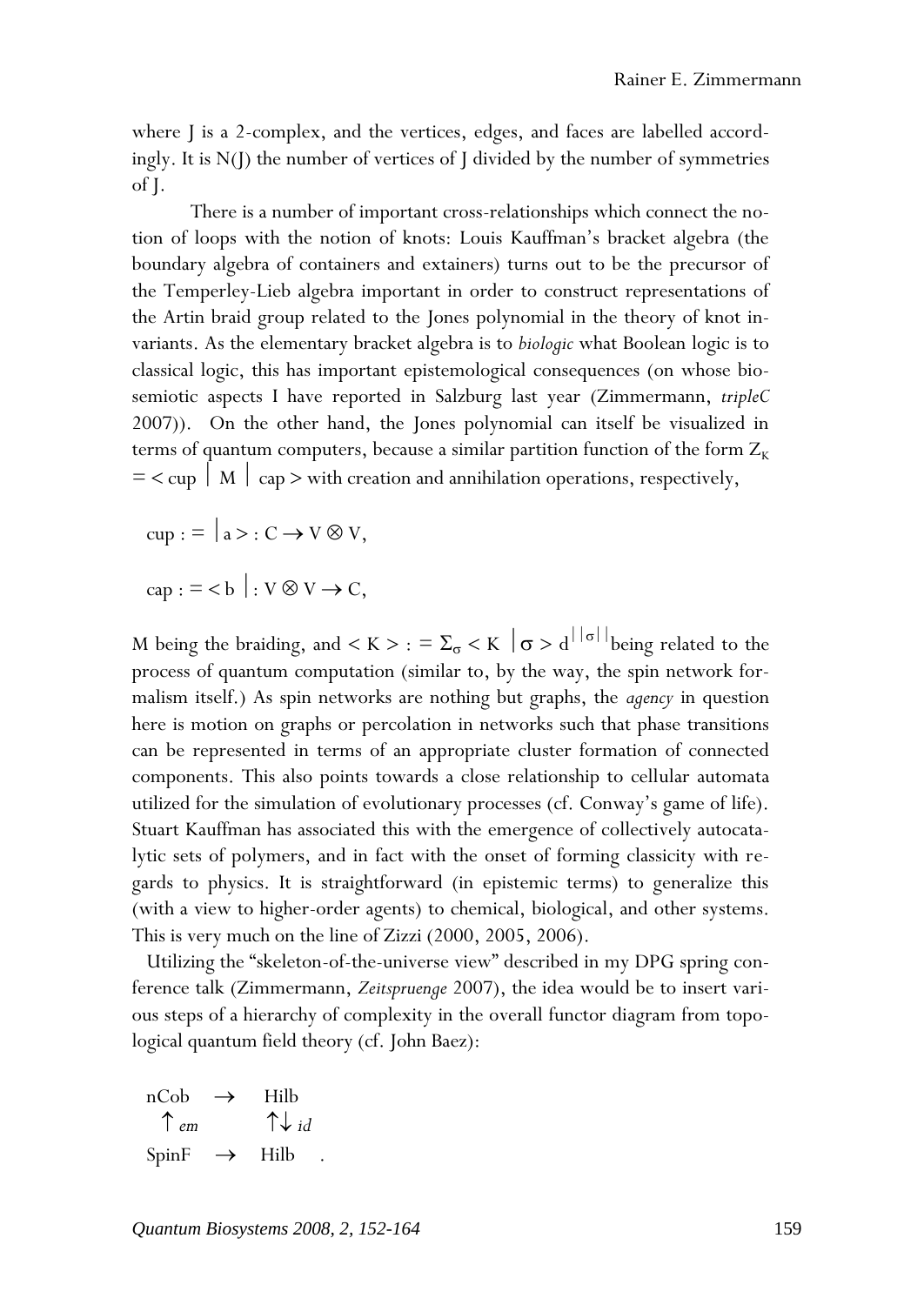where J is a 2-complex, and the vertices, edges, and faces are labelled accordingly. It is N(J) the number of vertices of J divided by the number of symmetries of J.

 There is a number of important cross-relationships which connect the notion of loops with the notion of knots: Louis Kauffman's bracket algebra (the boundary algebra of containers and extainers) turns out to be the precursor of the Temperley-Lieb algebra important in order to construct representations of the Artin braid group related to the Jones polynomial in the theory of knot invariants. As the elementary bracket algebra is to *biologic* what Boolean logic is to classical logic, this has important epistemological consequences (on whose biosemiotic aspects I have reported in Salzburg last year (Zimmermann, *tripleC* 2007)). On the other hand, the Jones polynomial can itself be visualized in terms of quantum computers, because a similar partition function of the form  $Z_K$  $=$  < cup  $\mid M \mid$  cap > with creation and annihilation operations, respectively,

$$
\text{cup } : = |a\rangle : C \to V \otimes V,
$$

$$
\text{cap } : = b | : V \otimes V \to C,
$$

M being the braiding, and  $K > : = \Sigma_{\sigma} < K \mid \sigma > d^{\frac{1}{\sigma} |\sigma|}$  being related to the process of quantum computation (similar to, by the way, the spin network formalism itself.) As spin networks are nothing but graphs, the *agency* in question here is motion on graphs or percolation in networks such that phase transitions can be represented in terms of an appropriate cluster formation of connected components. This also points towards a close relationship to cellular automata utilized for the simulation of evolutionary processes (cf. Conway's game of life). Stuart Kauffman has associated this with the emergence of collectively autocatalytic sets of polymers, and in fact with the onset of forming classicity with regards to physics. It is straightforward (in epistemic terms) to generalize this (with a view to higher-order agents) to chemical, biological, and other systems. This is very much on the line of Zizzi (2000, 2005, 2006).

 Utilizing the "skeleton-of-the-universe view" described in my DPG spring conference talk (Zimmermann, *Zeitspruenge* 2007), the idea would be to insert various steps of a hierarchy of complexity in the overall functor diagram from topological quantum field theory (cf. John Baez):

| nCob      |               | Hilb                        |  |
|-----------|---------------|-----------------------------|--|
| $\int$ em |               | $\uparrow\downarrow{}_{id}$ |  |
| SpinF     | $\rightarrow$ | Hilb                        |  |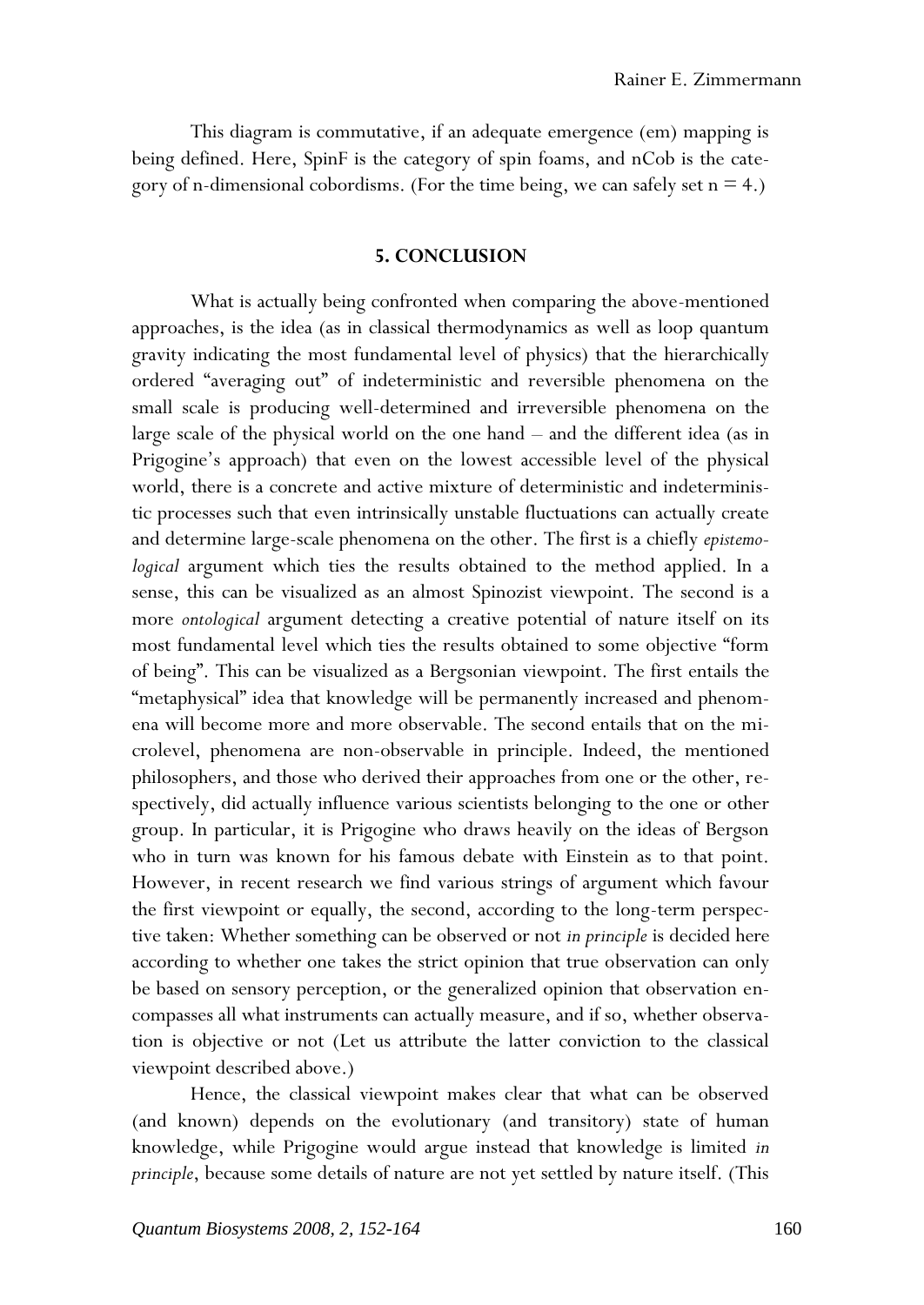This diagram is commutative, if an adequate emergence (em) mapping is being defined. Here, SpinF is the category of spin foams, and nCob is the category of n-dimensional cobordisms. (For the time being, we can safely set  $n = 4$ .)

#### **5. CONCLUSION**

 What is actually being confronted when comparing the above-mentioned approaches, is the idea (as in classical thermodynamics as well as loop quantum gravity indicating the most fundamental level of physics) that the hierarchically ordered "averaging out" of indeterministic and reversible phenomena on the small scale is producing well-determined and irreversible phenomena on the large scale of the physical world on the one hand – and the different idea (as in Prigogine's approach) that even on the lowest accessible level of the physical world, there is a concrete and active mixture of deterministic and indeterministic processes such that even intrinsically unstable fluctuations can actually create and determine large-scale phenomena on the other. The first is a chiefly *epistemological* argument which ties the results obtained to the method applied. In a sense, this can be visualized as an almost Spinozist viewpoint. The second is a more *ontological* argument detecting a creative potential of nature itself on its most fundamental level which ties the results obtained to some objective "form of being". This can be visualized as a Bergsonian viewpoint. The first entails the "metaphysical" idea that knowledge will be permanently increased and phenomena will become more and more observable. The second entails that on the microlevel, phenomena are non-observable in principle. Indeed, the mentioned philosophers, and those who derived their approaches from one or the other, respectively, did actually influence various scientists belonging to the one or other group. In particular, it is Prigogine who draws heavily on the ideas of Bergson who in turn was known for his famous debate with Einstein as to that point. However, in recent research we find various strings of argument which favour the first viewpoint or equally, the second, according to the long-term perspective taken: Whether something can be observed or not *in principle* is decided here according to whether one takes the strict opinion that true observation can only be based on sensory perception, or the generalized opinion that observation encompasses all what instruments can actually measure, and if so, whether observation is objective or not (Let us attribute the latter conviction to the classical viewpoint described above.)

 Hence, the classical viewpoint makes clear that what can be observed (and known) depends on the evolutionary (and transitory) state of human knowledge, while Prigogine would argue instead that knowledge is limited *in principle*, because some details of nature are not yet settled by nature itself. (This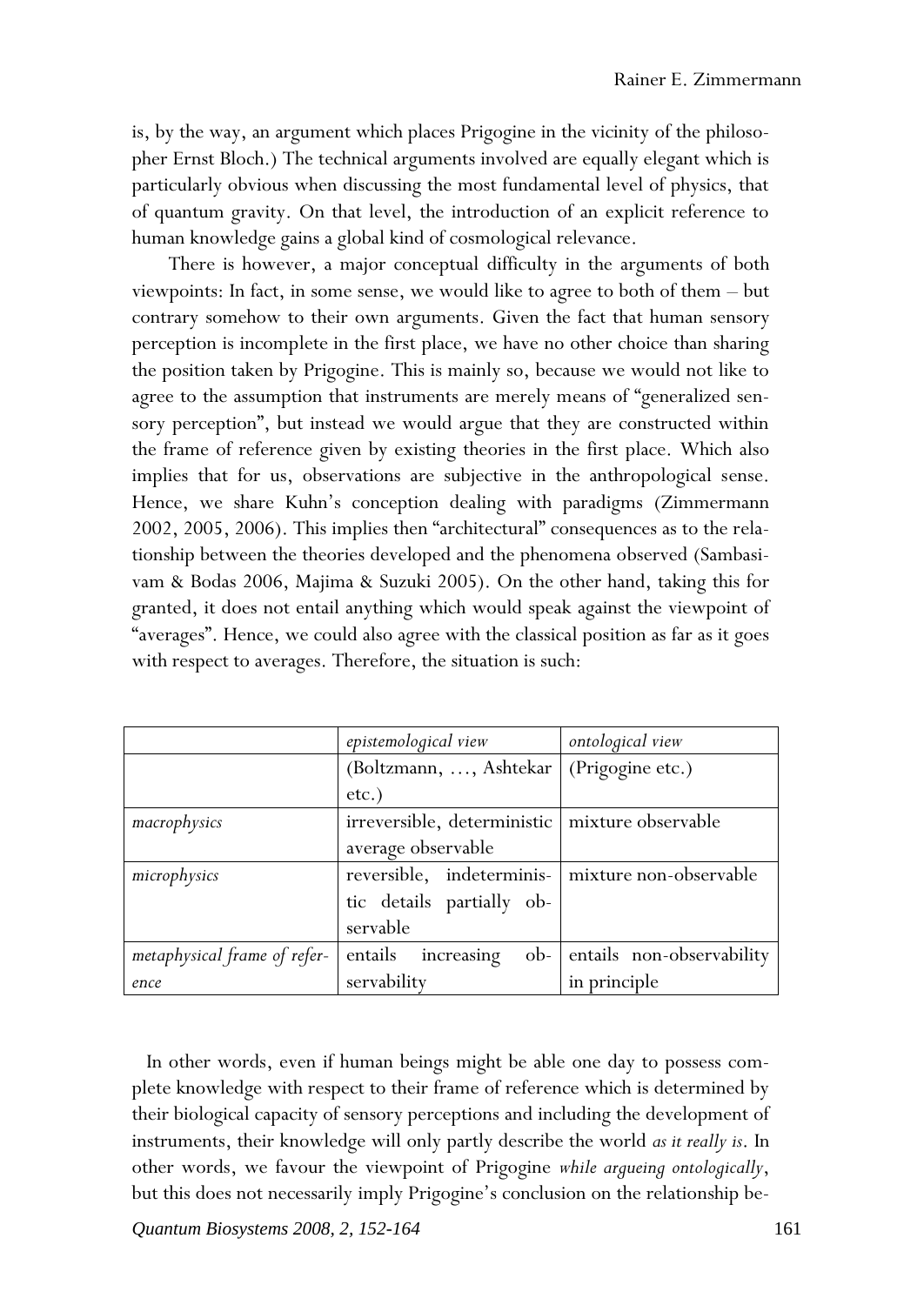is, by the way, an argument which places Prigogine in the vicinity of the philosopher Ernst Bloch.) The technical arguments involved are equally elegant which is particularly obvious when discussing the most fundamental level of physics, that of quantum gravity. On that level, the introduction of an explicit reference to human knowledge gains a global kind of cosmological relevance.

 There is however, a major conceptual difficulty in the arguments of both viewpoints: In fact, in some sense, we would like to agree to both of them – but contrary somehow to their own arguments. Given the fact that human sensory perception is incomplete in the first place, we have no other choice than sharing the position taken by Prigogine. This is mainly so, because we would not like to agree to the assumption that instruments are merely means of "generalized sensory perception", but instead we would argue that they are constructed within the frame of reference given by existing theories in the first place. Which also implies that for us, observations are subjective in the anthropological sense. Hence, we share Kuhn's conception dealing with paradigms (Zimmermann 2002, 2005, 2006). This implies then "architectural" consequences as to the relationship between the theories developed and the phenomena observed (Sambasivam & Bodas 2006, Majima & Suzuki 2005). On the other hand, taking this for granted, it does not entail anything which would speak against the viewpoint of "averages". Hence, we could also agree with the classical position as far as it goes with respect to averages. Therefore, the situation is such:

|                                                 | epistemological view                             | ontological view              |
|-------------------------------------------------|--------------------------------------------------|-------------------------------|
|                                                 | (Boltzmann, , Ashtekar   (Prigogine etc.)        |                               |
|                                                 | $etc.$ )                                         |                               |
| macrophysics                                    | irreversible, deterministic   mixture observable |                               |
|                                                 | average observable                               |                               |
| microphysics                                    | reversible, indeterminis- mixture non-observable |                               |
|                                                 | tic details partially ob-                        |                               |
|                                                 | servable                                         |                               |
| metaphysical frame of refer- entails increasing |                                                  | ob- entails non-observability |
| ence                                            | servability                                      | in principle                  |

 In other words, even if human beings might be able one day to possess complete knowledge with respect to their frame of reference which is determined by their biological capacity of sensory perceptions and including the development of instruments, their knowledge will only partly describe the world *as it really is*. In other words, we favour the viewpoint of Prigogine *while argueing ontologically*, but this does not necessarily imply Prigogine's conclusion on the relationship be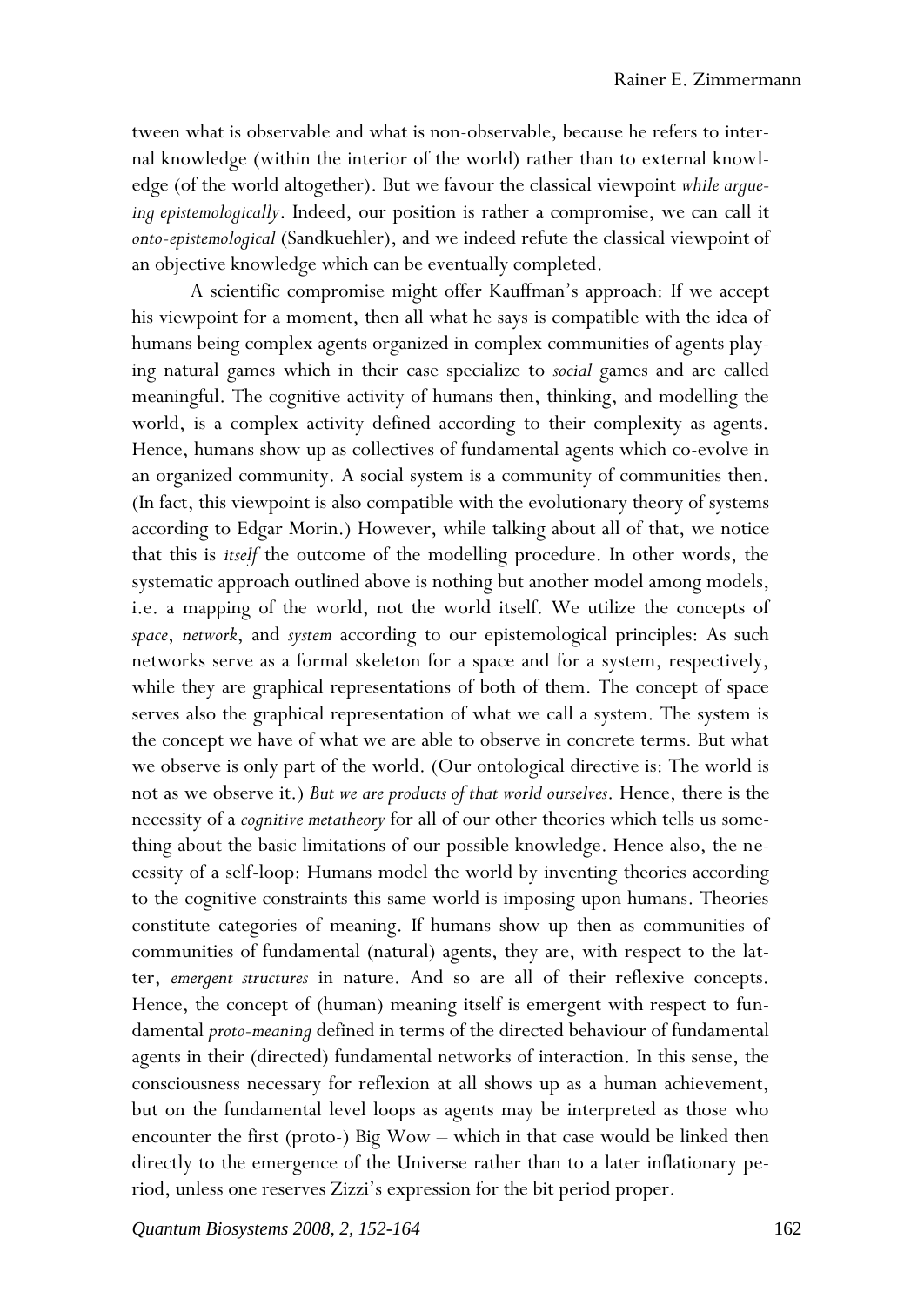tween what is observable and what is non-observable, because he refers to internal knowledge (within the interior of the world) rather than to external knowledge (of the world altogether). But we favour the classical viewpoint *while argueing epistemologically*. Indeed, our position is rather a compromise, we can call it *onto-epistemological* (Sandkuehler), and we indeed refute the classical viewpoint of an objective knowledge which can be eventually completed.

 A scientific compromise might offer Kauffman's approach: If we accept his viewpoint for a moment, then all what he says is compatible with the idea of humans being complex agents organized in complex communities of agents playing natural games which in their case specialize to *social* games and are called meaningful. The cognitive activity of humans then, thinking, and modelling the world, is a complex activity defined according to their complexity as agents. Hence, humans show up as collectives of fundamental agents which co-evolve in an organized community. A social system is a community of communities then. (In fact, this viewpoint is also compatible with the evolutionary theory of systems according to Edgar Morin.) However, while talking about all of that, we notice that this is *itself* the outcome of the modelling procedure. In other words, the systematic approach outlined above is nothing but another model among models, i.e. a mapping of the world, not the world itself. We utilize the concepts of *space*, *network*, and *system* according to our epistemological principles: As such networks serve as a formal skeleton for a space and for a system, respectively, while they are graphical representations of both of them. The concept of space serves also the graphical representation of what we call a system. The system is the concept we have of what we are able to observe in concrete terms. But what we observe is only part of the world. (Our ontological directive is: The world is not as we observe it.) *But we are products of that world ourselves*. Hence, there is the necessity of a *cognitive metatheory* for all of our other theories which tells us something about the basic limitations of our possible knowledge. Hence also, the necessity of a self-loop: Humans model the world by inventing theories according to the cognitive constraints this same world is imposing upon humans. Theories constitute categories of meaning. If humans show up then as communities of communities of fundamental (natural) agents, they are, with respect to the latter, *emergent structures* in nature. And so are all of their reflexive concepts. Hence, the concept of (human) meaning itself is emergent with respect to fundamental *proto-meaning* defined in terms of the directed behaviour of fundamental agents in their (directed) fundamental networks of interaction. In this sense, the consciousness necessary for reflexion at all shows up as a human achievement, but on the fundamental level loops as agents may be interpreted as those who encounter the first (proto-) Big Wow – which in that case would be linked then directly to the emergence of the Universe rather than to a later inflationary period, unless one reserves Zizzi's expression for the bit period proper.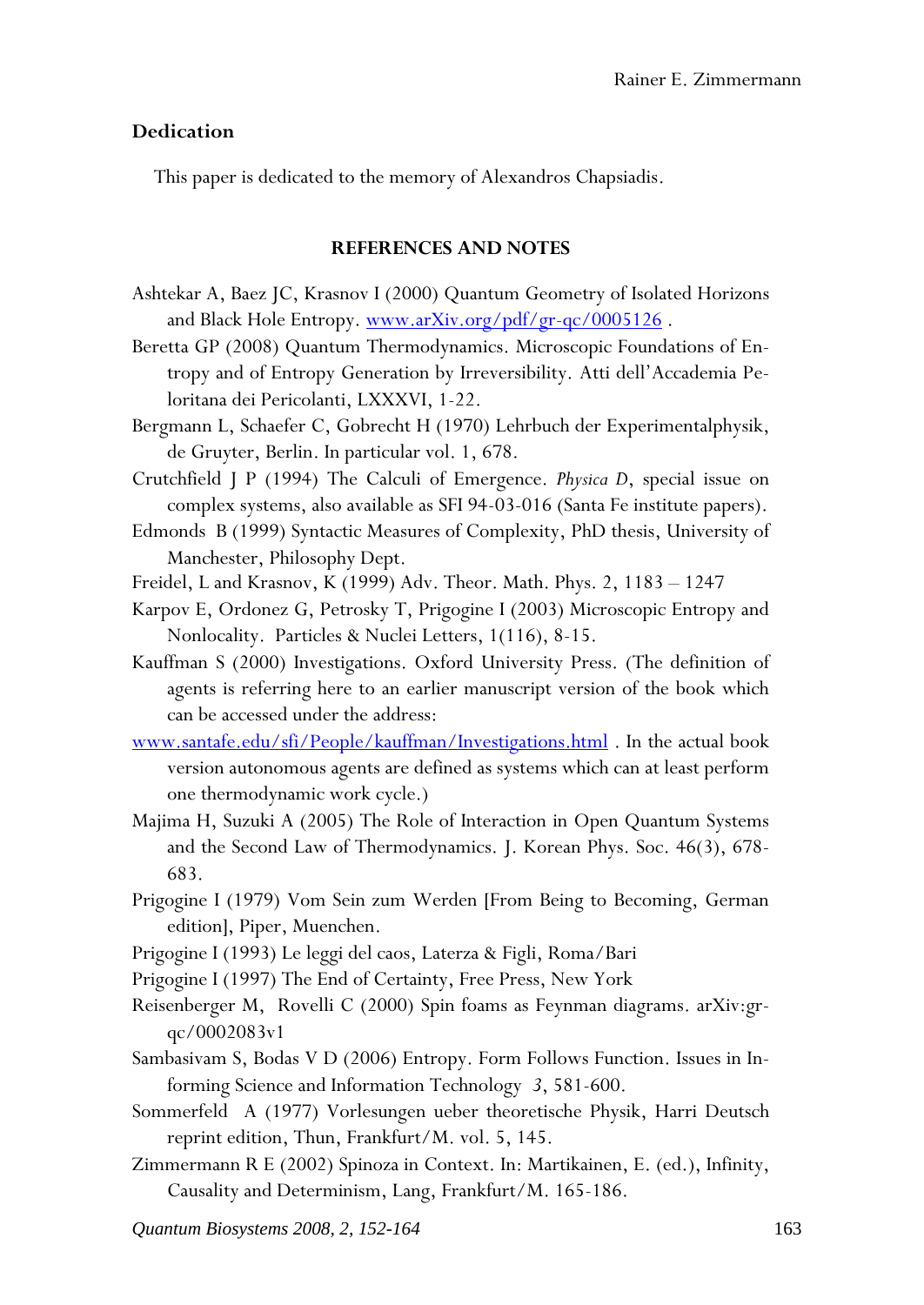# **Dedication**

This paper is dedicated to the memory of Alexandros Chapsiadis.

# **REFERENCES AND NOTES**

- Ashtekar A, Baez JC, Krasnov I (2000) Quantum Geometry of Isolated Horizons and Black Hole Entropy. [www.arXiv.org/pdf/gr-qc/0005126](http://www.arxiv.org/pdf/gr-qc/0005126).
- Beretta GP (2008) Quantum Thermodynamics. Microscopic Foundations of Entropy and of Entropy Generation by Irreversibility. Atti dell'Accademia Peloritana dei Pericolanti, LXXXVI, 1-22.
- Bergmann L, Schaefer C, Gobrecht H (1970) Lehrbuch der Experimentalphysik, de Gruyter, Berlin. In particular vol. 1, 678.
- Crutchfield J P (1994) The Calculi of Emergence. *Physica D*, special issue on complex systems, also available as SFI 94-03-016 (Santa Fe institute papers).
- Edmonds B (1999) Syntactic Measures of Complexity, PhD thesis, University of Manchester, Philosophy Dept.
- Freidel, L and Krasnov, K (1999) Adv. Theor. Math. Phys. 2, 1183 1247
- Karpov E, Ordonez G, Petrosky T, Prigogine I (2003) Microscopic Entropy and Nonlocality. Particles & Nuclei Letters, 1(116), 8-15.
- Kauffman S (2000) Investigations. Oxford University Press. (The definition of agents is referring here to an earlier manuscript version of the book which can be accessed under the address:
- [www.santafe.edu/sfi/People/kauffman/Investigations.html](http://www.santafe.edu/sfi/People/kauffman/Investigations.html) . In the actual book version autonomous agents are defined as systems which can at least perform one thermodynamic work cycle.)
- Majima H, Suzuki A (2005) The Role of Interaction in Open Quantum Systems and the Second Law of Thermodynamics. J. Korean Phys. Soc. 46(3), 678- 683.
- Prigogine I (1979) Vom Sein zum Werden [From Being to Becoming, German edition], Piper, Muenchen.
- Prigogine I (1993) Le leggi del caos, Laterza & Figli, Roma/Bari
- Prigogine I (1997) The End of Certainty, Free Press, New York
- [Reisenberger](http://arxiv.org/find/gr-qc/1/au:+Reisenberger_M/0/1/0/all/0/1) M, Rovelli C (2000) Spin foams as Feynman diagrams. arXiv:grqc/0002083v1
- Sambasivam S, Bodas V D (2006) Entropy. Form Follows Function. Issues in Informing Science and Information Technology *3*, 581-600.
- Sommerfeld A (1977) Vorlesungen ueber theoretische Physik, Harri Deutsch reprint edition, Thun, Frankfurt/M. vol. 5, 145.
- Zimmermann R E (2002) Spinoza in Context. In: Martikainen, E. (ed.), Infinity, Causality and Determinism, Lang, Frankfurt/M. 165-186.